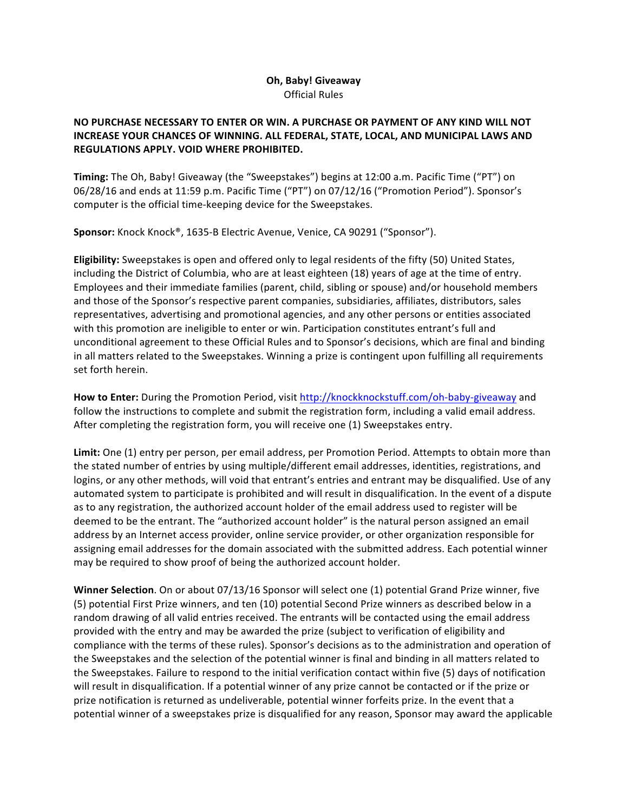## **Oh, Baby! Giveaway Official Rules**

## **NO PURCHASE NECESSARY TO ENTER OR WIN. A PURCHASE OR PAYMENT OF ANY KIND WILL NOT INCREASE YOUR CHANCES OF WINNING. ALL FEDERAL, STATE, LOCAL, AND MUNICIPAL LAWS AND REGULATIONS APPLY. VOID WHERE PROHIBITED.**

**Timing:** The Oh, Baby! Giveaway (the "Sweepstakes") begins at 12:00 a.m. Pacific Time ("PT") on 06/28/16 and ends at 11:59 p.m. Pacific Time ("PT") on 07/12/16 ("Promotion Period"). Sponsor's computer is the official time-keeping device for the Sweepstakes.

**Sponsor:** Knock Knock®, 1635-B Electric Avenue, Venice, CA 90291 ("Sponsor").

**Eligibility:** Sweepstakes is open and offered only to legal residents of the fifty (50) United States, including the District of Columbia, who are at least eighteen (18) years of age at the time of entry. Employees and their immediate families (parent, child, sibling or spouse) and/or household members and those of the Sponsor's respective parent companies, subsidiaries, affiliates, distributors, sales representatives, advertising and promotional agencies, and any other persons or entities associated with this promotion are ineligible to enter or win. Participation constitutes entrant's full and unconditional agreement to these Official Rules and to Sponsor's decisions, which are final and binding in all matters related to the Sweepstakes. Winning a prize is contingent upon fulfilling all requirements set forth herein.

**How to Enter:** During the Promotion Period, visit http://knockknockstuff.com/oh-baby-giveaway and follow the instructions to complete and submit the registration form, including a valid email address. After completing the registration form, you will receive one  $(1)$  Sweepstakes entry.

Limit: One (1) entry per person, per email address, per Promotion Period. Attempts to obtain more than the stated number of entries by using multiple/different email addresses, identities, registrations, and logins, or any other methods, will void that entrant's entries and entrant may be disqualified. Use of any automated system to participate is prohibited and will result in disqualification. In the event of a dispute as to any registration, the authorized account holder of the email address used to register will be deemed to be the entrant. The "authorized account holder" is the natural person assigned an email address by an Internet access provider, online service provider, or other organization responsible for assigning email addresses for the domain associated with the submitted address. Each potential winner may be required to show proof of being the authorized account holder.

**Winner Selection**. On or about 07/13/16 Sponsor will select one (1) potential Grand Prize winner, five (5) potential First Prize winners, and ten (10) potential Second Prize winners as described below in a random drawing of all valid entries received. The entrants will be contacted using the email address provided with the entry and may be awarded the prize (subject to verification of eligibility and compliance with the terms of these rules). Sponsor's decisions as to the administration and operation of the Sweepstakes and the selection of the potential winner is final and binding in all matters related to the Sweepstakes. Failure to respond to the initial verification contact within five (5) days of notification will result in disqualification. If a potential winner of any prize cannot be contacted or if the prize or prize notification is returned as undeliverable, potential winner forfeits prize. In the event that a potential winner of a sweepstakes prize is disqualified for any reason, Sponsor may award the applicable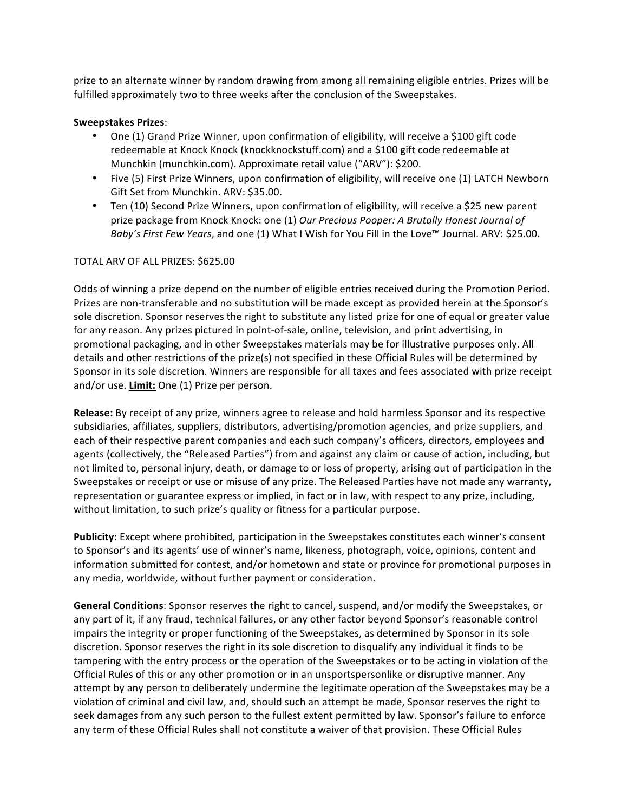prize to an alternate winner by random drawing from among all remaining eligible entries. Prizes will be fulfilled approximately two to three weeks after the conclusion of the Sweepstakes.

## **Sweepstakes Prizes**:

- One (1) Grand Prize Winner, upon confirmation of eligibility, will receive a \$100 gift code redeemable at Knock Knock (knockknockstuff.com) and a \$100 gift code redeemable at Munchkin (munchkin.com). Approximate retail value ("ARV"): \$200.
- Five (5) First Prize Winners, upon confirmation of eligibility, will receive one (1) LATCH Newborn Gift Set from Munchkin. ARV: \$35.00.
- Ten (10) Second Prize Winners, upon confirmation of eligibility, will receive a \$25 new parent prize package from Knock Knock: one (1) Our Precious Pooper: A Brutally Honest Journal of *Baby's First Few Years,* and one (1) What I Wish for You Fill in the Love™ Journal. ARV: \$25.00.

## TOTAL ARV OF ALL PRIZES: \$625.00

Odds of winning a prize depend on the number of eligible entries received during the Promotion Period. Prizes are non-transferable and no substitution will be made except as provided herein at the Sponsor's sole discretion. Sponsor reserves the right to substitute any listed prize for one of equal or greater value for any reason. Any prizes pictured in point-of-sale, online, television, and print advertising, in promotional packaging, and in other Sweepstakes materials may be for illustrative purposes only. All details and other restrictions of the prize(s) not specified in these Official Rules will be determined by Sponsor in its sole discretion. Winners are responsible for all taxes and fees associated with prize receipt and/or use. **Limit:** One (1) Prize per person.

**Release:** By receipt of any prize, winners agree to release and hold harmless Sponsor and its respective subsidiaries, affiliates, suppliers, distributors, advertising/promotion agencies, and prize suppliers, and each of their respective parent companies and each such company's officers, directors, employees and agents (collectively, the "Released Parties") from and against any claim or cause of action, including, but not limited to, personal injury, death, or damage to or loss of property, arising out of participation in the Sweepstakes or receipt or use or misuse of any prize. The Released Parties have not made any warranty, representation or guarantee express or implied, in fact or in law, with respect to any prize, including, without limitation, to such prize's quality or fitness for a particular purpose.

**Publicity:** Except where prohibited, participation in the Sweepstakes constitutes each winner's consent to Sponsor's and its agents' use of winner's name, likeness, photograph, voice, opinions, content and information submitted for contest, and/or hometown and state or province for promotional purposes in any media, worldwide, without further payment or consideration.

**General Conditions**: Sponsor reserves the right to cancel, suspend, and/or modify the Sweepstakes, or any part of it, if any fraud, technical failures, or any other factor beyond Sponsor's reasonable control impairs the integrity or proper functioning of the Sweepstakes, as determined by Sponsor in its sole discretion. Sponsor reserves the right in its sole discretion to disqualify any individual it finds to be tampering with the entry process or the operation of the Sweepstakes or to be acting in violation of the Official Rules of this or any other promotion or in an unsportspersonlike or disruptive manner. Any attempt by any person to deliberately undermine the legitimate operation of the Sweepstakes may be a violation of criminal and civil law, and, should such an attempt be made, Sponsor reserves the right to seek damages from any such person to the fullest extent permitted by law. Sponsor's failure to enforce any term of these Official Rules shall not constitute a waiver of that provision. These Official Rules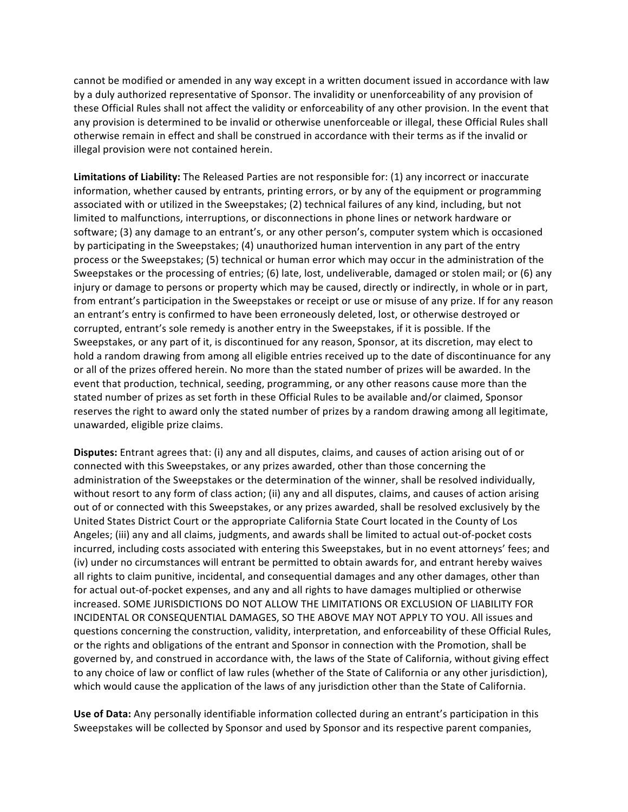cannot be modified or amended in any way except in a written document issued in accordance with law by a duly authorized representative of Sponsor. The invalidity or unenforceability of any provision of these Official Rules shall not affect the validity or enforceability of any other provision. In the event that any provision is determined to be invalid or otherwise unenforceable or illegal, these Official Rules shall otherwise remain in effect and shall be construed in accordance with their terms as if the invalid or illegal provision were not contained herein.

Limitations of Liability: The Released Parties are not responsible for: (1) any incorrect or inaccurate information, whether caused by entrants, printing errors, or by any of the equipment or programming associated with or utilized in the Sweepstakes; (2) technical failures of any kind, including, but not limited to malfunctions, interruptions, or disconnections in phone lines or network hardware or software; (3) any damage to an entrant's, or any other person's, computer system which is occasioned by participating in the Sweepstakes; (4) unauthorized human intervention in any part of the entry process or the Sweepstakes; (5) technical or human error which may occur in the administration of the Sweepstakes or the processing of entries; (6) late, lost, undeliverable, damaged or stolen mail; or (6) any injury or damage to persons or property which may be caused, directly or indirectly, in whole or in part, from entrant's participation in the Sweepstakes or receipt or use or misuse of any prize. If for any reason an entrant's entry is confirmed to have been erroneously deleted, lost, or otherwise destroyed or corrupted, entrant's sole remedy is another entry in the Sweepstakes, if it is possible. If the Sweepstakes, or any part of it, is discontinued for any reason, Sponsor, at its discretion, may elect to hold a random drawing from among all eligible entries received up to the date of discontinuance for any or all of the prizes offered herein. No more than the stated number of prizes will be awarded. In the event that production, technical, seeding, programming, or any other reasons cause more than the stated number of prizes as set forth in these Official Rules to be available and/or claimed, Sponsor reserves the right to award only the stated number of prizes by a random drawing among all legitimate, unawarded, eligible prize claims.

**Disputes:** Entrant agrees that: (i) any and all disputes, claims, and causes of action arising out of or connected with this Sweepstakes, or any prizes awarded, other than those concerning the administration of the Sweepstakes or the determination of the winner, shall be resolved individually, without resort to any form of class action; (ii) any and all disputes, claims, and causes of action arising out of or connected with this Sweepstakes, or any prizes awarded, shall be resolved exclusively by the United States District Court or the appropriate California State Court located in the County of Los Angeles; (iii) any and all claims, judgments, and awards shall be limited to actual out-of-pocket costs incurred, including costs associated with entering this Sweepstakes, but in no event attorneys' fees; and (iv) under no circumstances will entrant be permitted to obtain awards for, and entrant hereby waives all rights to claim punitive, incidental, and consequential damages and any other damages, other than for actual out-of-pocket expenses, and any and all rights to have damages multiplied or otherwise increased. SOME JURISDICTIONS DO NOT ALLOW THE LIMITATIONS OR EXCLUSION OF LIABILITY FOR INCIDENTAL OR CONSEQUENTIAL DAMAGES, SO THE ABOVE MAY NOT APPLY TO YOU. All issues and questions concerning the construction, validity, interpretation, and enforceability of these Official Rules, or the rights and obligations of the entrant and Sponsor in connection with the Promotion, shall be governed by, and construed in accordance with, the laws of the State of California, without giving effect to any choice of law or conflict of law rules (whether of the State of California or any other jurisdiction), which would cause the application of the laws of any jurisdiction other than the State of California.

**Use of Data:** Any personally identifiable information collected during an entrant's participation in this Sweepstakes will be collected by Sponsor and used by Sponsor and its respective parent companies,